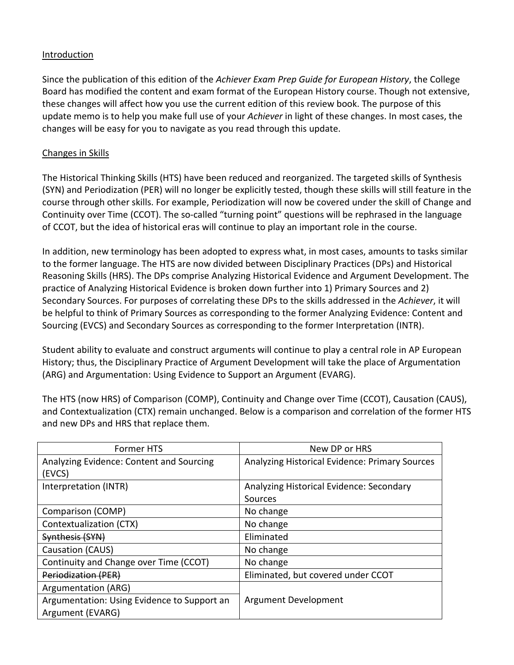#### **Introduction**

Since the publication of this edition of the *Achiever Exam Prep Guide for European History*, the College Board has modified the content and exam format of the European History course. Though not extensive, these changes will affect how you use the current edition of this review book. The purpose of this update memo is to help you make full use of your *Achiever* in light of these changes. In most cases, the changes will be easy for you to navigate as you read through this update.

#### Changes in Skills

The Historical Thinking Skills (HTS) have been reduced and reorganized. The targeted skills of Synthesis (SYN) and Periodization (PER) will no longer be explicitly tested, though these skills will still feature in the course through other skills. For example, Periodization will now be covered under the skill of Change and Continuity over Time (CCOT). The so-called "turning point" questions will be rephrased in the language of CCOT, but the idea of historical eras will continue to play an important role in the course.

In addition, new terminology has been adopted to express what, in most cases, amounts to tasks similar to the former language. The HTS are now divided between Disciplinary Practices (DPs) and Historical Reasoning Skills (HRS). The DPs comprise Analyzing Historical Evidence and Argument Development. The practice of Analyzing Historical Evidence is broken down further into 1) Primary Sources and 2) Secondary Sources. For purposes of correlating these DPs to the skills addressed in the *Achiever*, it will be helpful to think of Primary Sources as corresponding to the former Analyzing Evidence: Content and Sourcing (EVCS) and Secondary Sources as corresponding to the former Interpretation (INTR).

Student ability to evaluate and construct arguments will continue to play a central role in AP European History; thus, the Disciplinary Practice of Argument Development will take the place of Argumentation (ARG) and Argumentation: Using Evidence to Support an Argument (EVARG).

The HTS (now HRS) of Comparison (COMP), Continuity and Change over Time (CCOT), Causation (CAUS), and Contextualization (CTX) remain unchanged. Below is a comparison and correlation of the former HTS and new DPs and HRS that replace them.

| <b>Former HTS</b>                           | New DP or HRS                                  |  |
|---------------------------------------------|------------------------------------------------|--|
| Analyzing Evidence: Content and Sourcing    | Analyzing Historical Evidence: Primary Sources |  |
| (EVCS)                                      |                                                |  |
| Interpretation (INTR)                       | Analyzing Historical Evidence: Secondary       |  |
|                                             | Sources                                        |  |
| Comparison (COMP)                           | No change                                      |  |
| Contextualization (CTX)                     | No change                                      |  |
| Synthesis (SYN)                             | Eliminated                                     |  |
| Causation (CAUS)                            | No change                                      |  |
| Continuity and Change over Time (CCOT)      | No change                                      |  |
| <b>Periodization (PER)</b>                  | Eliminated, but covered under CCOT             |  |
| Argumentation (ARG)                         |                                                |  |
| Argumentation: Using Evidence to Support an | Argument Development                           |  |
| Argument (EVARG)                            |                                                |  |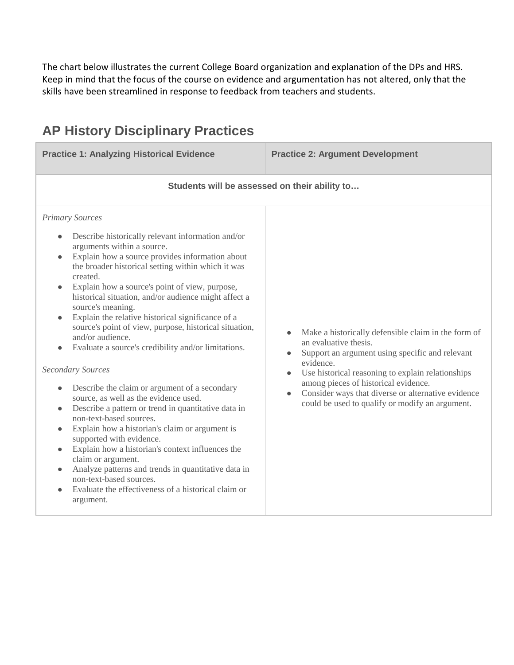The chart below illustrates the current College Board organization and explanation of the DPs and HRS. Keep in mind that the focus of the course on evidence and argumentation has not altered, only that the skills have been streamlined in response to feedback from teachers and students.

# **AP History Disciplinary Practices**

**Practice 1: Analyzing Historical Evidence Practice 2: Argument Development Students will be assessed on their ability to…** *Primary Sources*

- Describe historically relevant information and/or arguments within a source.
- Explain how a source provides information about the broader historical setting within which it was created.
- Explain how a source's point of view, purpose, historical situation, and/or audience might affect a source's meaning.
- Explain the relative historical significance of a source's point of view, purpose, historical situation, and/or audience.
- Evaluate a source's credibility and/or limitations.

#### *Secondary Sources*

- Describe the claim or argument of a secondary source, as well as the evidence used.
- Describe a pattern or trend in quantitative data in non-text-based sources.
- Explain how a historian's claim or argument is supported with evidence.
- Explain how a historian's context influences the claim or argument.
- Analyze patterns and trends in quantitative data in non-text-based sources.
- Evaluate the effectiveness of a historical claim or argument.
- Make a historically defensible claim in the form of an evaluative thesis.
- Support an argument using specific and relevant evidence.
- Use historical reasoning to explain relationships among pieces of historical evidence.
- Consider ways that diverse or alternative evidence could be used to qualify or modify an argument.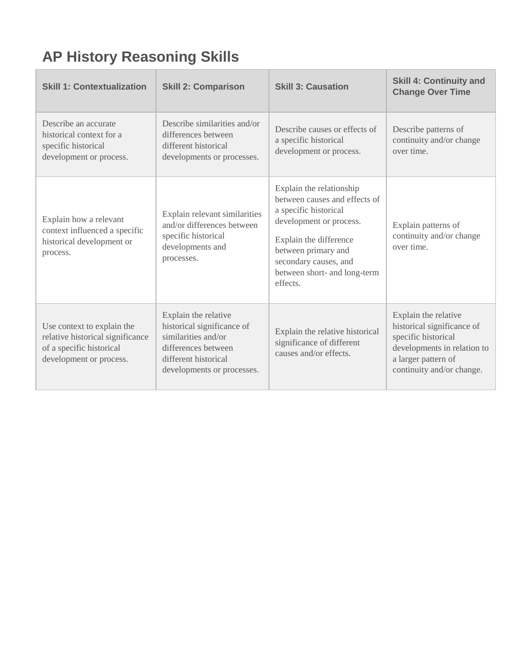# **AP History Reasoning Skills**

| <b>Skill 1: Contextualization</b>                                                                                     | <b>Skill 2: Comparison</b>                                                                                                                             | <b>Skill 3: Causation</b>                                                                                                                                                                                                           | <b>Skill 4: Continuity and</b><br><b>Change Over Time</b>                                                                                                    |
|-----------------------------------------------------------------------------------------------------------------------|--------------------------------------------------------------------------------------------------------------------------------------------------------|-------------------------------------------------------------------------------------------------------------------------------------------------------------------------------------------------------------------------------------|--------------------------------------------------------------------------------------------------------------------------------------------------------------|
| Describe an accurate<br>historical context for a<br>specific historical<br>development or process.                    | Describe similarities and/or<br>differences between<br>different historical<br>developments or processes.                                              | Describe causes or effects of<br>a specific historical<br>development or process.                                                                                                                                                   | Describe patterns of<br>continuity and/or change<br>over time.                                                                                               |
| Explain how a relevant<br>context influenced a specific<br>historical development or<br>process.                      | Explain relevant similarities<br>and/or differences between<br>specific historical<br>developments and<br>processes.                                   | Explain the relationship<br>between causes and effects of<br>a specific historical<br>development or process.<br>Explain the difference<br>between primary and<br>secondary causes, and<br>between short- and long-term<br>effects. | Explain patterns of<br>continuity and/or change<br>over time.                                                                                                |
| Use context to explain the<br>relative historical significance<br>of a specific historical<br>development or process. | Explain the relative<br>historical significance of<br>similarities and/or<br>differences between<br>different historical<br>developments or processes. | Explain the relative historical<br>significance of different<br>causes and/or effects.                                                                                                                                              | Explain the relative<br>historical significance of<br>specific historical<br>developments in relation to<br>a larger pattern of<br>continuity and/or change. |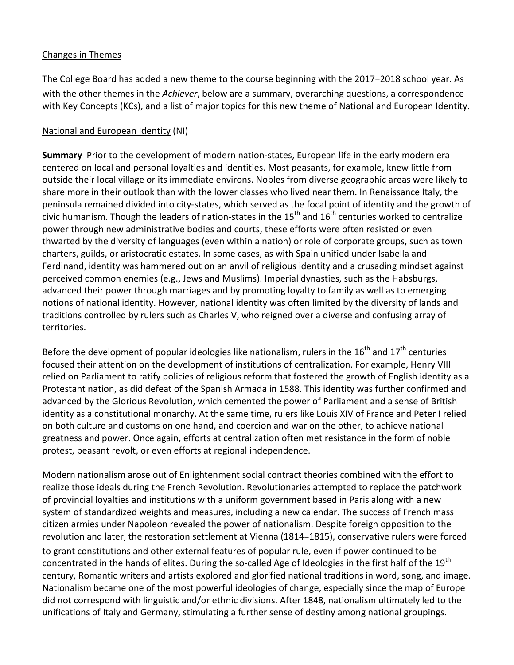#### Changes in Themes

The College Board has added a new theme to the course beginning with the 2017–2018 school year. As with the other themes in the *Achiever*, below are a summary, overarching questions, a correspondence with Key Concepts (KCs), and a list of major topics for this new theme of National and European Identity.

#### National and European Identity (NI)

**Summary** Prior to the development of modern nation-states, European life in the early modern era centered on local and personal loyalties and identities. Most peasants, for example, knew little from outside their local village or its immediate environs. Nobles from diverse geographic areas were likely to share more in their outlook than with the lower classes who lived near them. In Renaissance Italy, the peninsula remained divided into city-states, which served as the focal point of identity and the growth of civic humanism. Though the leaders of nation-states in the  $15<sup>th</sup>$  and  $16<sup>th</sup>$  centuries worked to centralize power through new administrative bodies and courts, these efforts were often resisted or even thwarted by the diversity of languages (even within a nation) or role of corporate groups, such as town charters, guilds, or aristocratic estates. In some cases, as with Spain unified under Isabella and Ferdinand, identity was hammered out on an anvil of religious identity and a crusading mindset against perceived common enemies (e.g., Jews and Muslims). Imperial dynasties, such as the Habsburgs, advanced their power through marriages and by promoting loyalty to family as well as to emerging notions of national identity. However, national identity was often limited by the diversity of lands and traditions controlled by rulers such as Charles V, who reigned over a diverse and confusing array of territories.

Before the development of popular ideologies like nationalism, rulers in the  $16<sup>th</sup>$  and  $17<sup>th</sup>$  centuries focused their attention on the development of institutions of centralization. For example, Henry VIII relied on Parliament to ratify policies of religious reform that fostered the growth of English identity as a Protestant nation, as did defeat of the Spanish Armada in 1588. This identity was further confirmed and advanced by the Glorious Revolution, which cemented the power of Parliament and a sense of British identity as a constitutional monarchy. At the same time, rulers like Louis XIV of France and Peter I relied on both culture and customs on one hand, and coercion and war on the other, to achieve national greatness and power. Once again, efforts at centralization often met resistance in the form of noble protest, peasant revolt, or even efforts at regional independence.

Modern nationalism arose out of Enlightenment social contract theories combined with the effort to realize those ideals during the French Revolution. Revolutionaries attempted to replace the patchwork of provincial loyalties and institutions with a uniform government based in Paris along with a new system of standardized weights and measures, including a new calendar. The success of French mass citizen armies under Napoleon revealed the power of nationalism. Despite foreign opposition to the revolution and later, the restoration settlement at Vienna (1814–1815), conservative rulers were forced to grant constitutions and other external features of popular rule, even if power continued to be concentrated in the hands of elites. During the so-called Age of Ideologies in the first half of the 19<sup>th</sup> century, Romantic writers and artists explored and glorified national traditions in word, song, and image. Nationalism became one of the most powerful ideologies of change, especially since the map of Europe did not correspond with linguistic and/or ethnic divisions. After 1848, nationalism ultimately led to the unifications of Italy and Germany, stimulating a further sense of destiny among national groupings.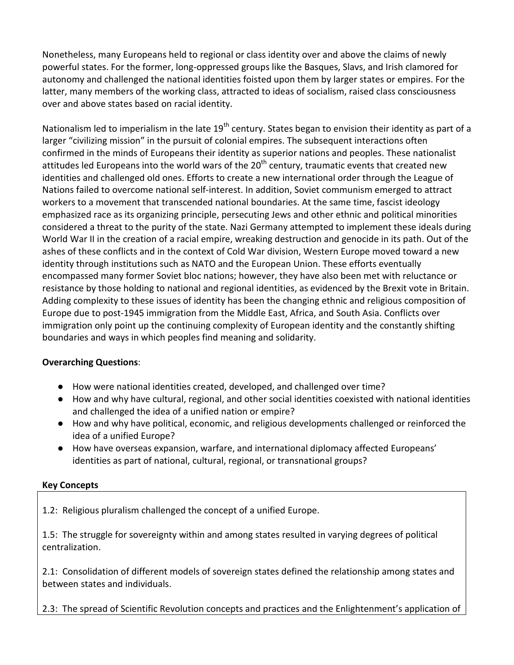Nonetheless, many Europeans held to regional or class identity over and above the claims of newly powerful states. For the former, long-oppressed groups like the Basques, Slavs, and Irish clamored for autonomy and challenged the national identities foisted upon them by larger states or empires. For the latter, many members of the working class, attracted to ideas of socialism, raised class consciousness over and above states based on racial identity.

Nationalism led to imperialism in the late 19<sup>th</sup> century. States began to envision their identity as part of a larger "civilizing mission" in the pursuit of colonial empires. The subsequent interactions often confirmed in the minds of Europeans their identity as superior nations and peoples. These nationalist attitudes led Europeans into the world wars of the  $20<sup>th</sup>$  century, traumatic events that created new identities and challenged old ones. Efforts to create a new international order through the League of Nations failed to overcome national self-interest. In addition, Soviet communism emerged to attract workers to a movement that transcended national boundaries. At the same time, fascist ideology emphasized race as its organizing principle, persecuting Jews and other ethnic and political minorities considered a threat to the purity of the state. Nazi Germany attempted to implement these ideals during World War II in the creation of a racial empire, wreaking destruction and genocide in its path. Out of the ashes of these conflicts and in the context of Cold War division, Western Europe moved toward a new identity through institutions such as NATO and the European Union. These efforts eventually encompassed many former Soviet bloc nations; however, they have also been met with reluctance or resistance by those holding to national and regional identities, as evidenced by the Brexit vote in Britain. Adding complexity to these issues of identity has been the changing ethnic and religious composition of Europe due to post-1945 immigration from the Middle East, Africa, and South Asia. Conflicts over immigration only point up the continuing complexity of European identity and the constantly shifting boundaries and ways in which peoples find meaning and solidarity.

## **Overarching Questions**:

- How were national identities created, developed, and challenged over time?
- How and why have cultural, regional, and other social identities coexisted with national identities and challenged the idea of a unified nation or empire?
- How and why have political, economic, and religious developments challenged or reinforced the idea of a unified Europe?
- How have overseas expansion, warfare, and international diplomacy affected Europeans' identities as part of national, cultural, regional, or transnational groups?

## **Key Concepts**

1.2: Religious pluralism challenged the concept of a unified Europe.

1.5: The struggle for sovereignty within and among states resulted in varying degrees of political centralization.

2.1: Consolidation of different models of sovereign states defined the relationship among states and between states and individuals.

2.3: The spread of Scientific Revolution concepts and practices and the Enlightenment's application of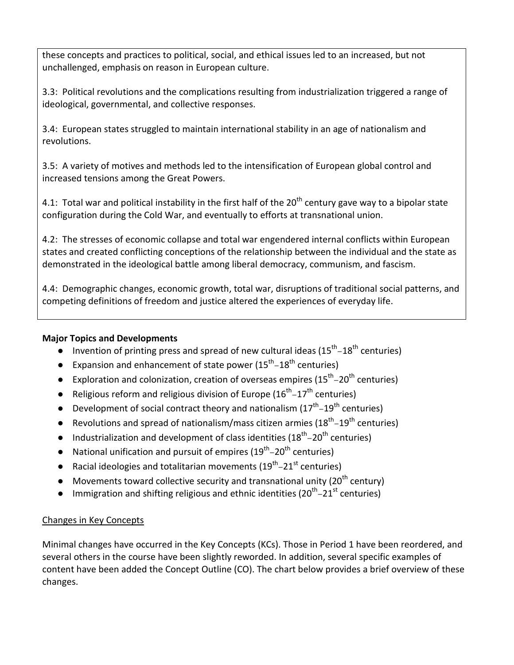these concepts and practices to political, social, and ethical issues led to an increased, but not unchallenged, emphasis on reason in European culture.

3.3: Political revolutions and the complications resulting from industrialization triggered a range of ideological, governmental, and collective responses.

3.4: European states struggled to maintain international stability in an age of nationalism and revolutions.

3.5: A variety of motives and methods led to the intensification of European global control and increased tensions among the Great Powers.

4.1: Total war and political instability in the first half of the  $20<sup>th</sup>$  century gave way to a bipolar state configuration during the Cold War, and eventually to efforts at transnational union.

4.2: The stresses of economic collapse and total war engendered internal conflicts within European states and created conflicting conceptions of the relationship between the individual and the state as demonstrated in the ideological battle among liberal democracy, communism, and fascism.

4.4: Demographic changes, economic growth, total war, disruptions of traditional social patterns, and competing definitions of freedom and justice altered the experiences of everyday life.

## **Major Topics and Developments**

- Invention of printing press and spread of new cultural ideas  $(15^{th}-18^{th}$  centuries)
- **•** Expansion and enhancement of state power  $(15^{th} 18^{th}$  centuries)
- **•** Exploration and colonization, creation of overseas empires  $(15<sup>th</sup> 20<sup>th</sup>$  centuries)
- Religious reform and religious division of Europe  $(16^{th} 17^{th}$  centuries)
- Development of social contract theory and nationalism  $(17^{th} 19^{th}$  centuries)
- **•** Revolutions and spread of nationalism/mass citizen armies  $(18<sup>th</sup>-19<sup>th</sup>$  centuries)
- Industrialization and development of class identities  $(18<sup>th</sup> 20<sup>th</sup>$  centuries)
- National unification and pursuit of empires  $(19<sup>th</sup> 20<sup>th</sup>$  centuries)
- Racial ideologies and totalitarian movements  $(19^{th} 21^{st}$  centuries)
- Movements toward collective security and transnational unity ( $20<sup>th</sup>$  century)
- Immigration and shifting religious and ethnic identities ( $20<sup>th</sup>$ –21st centuries)

## Changes in Key Concepts

Minimal changes have occurred in the Key Concepts (KCs). Those in Period 1 have been reordered, and several others in the course have been slightly reworded. In addition, several specific examples of content have been added the Concept Outline (CO). The chart below provides a brief overview of these changes.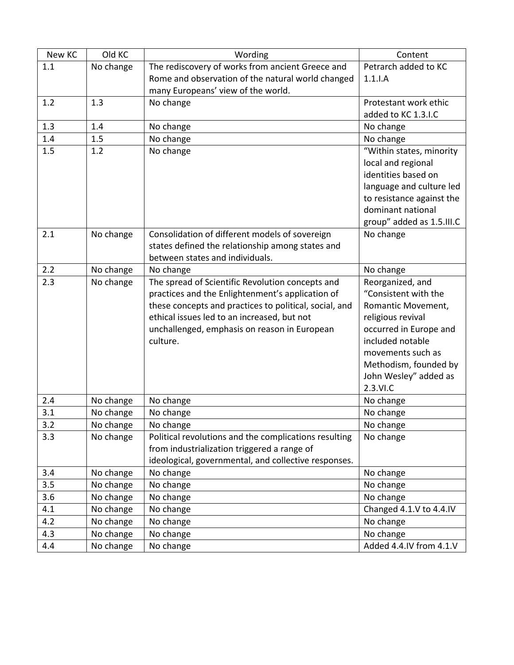| New KC | Old KC    | Wording                                                | Content                   |
|--------|-----------|--------------------------------------------------------|---------------------------|
| 1.1    | No change | The rediscovery of works from ancient Greece and       | Petrarch added to KC      |
|        |           | Rome and observation of the natural world changed      | $1.1.$ I.A                |
|        |           | many Europeans' view of the world.                     |                           |
| 1.2    | 1.3       | No change                                              | Protestant work ethic     |
|        |           |                                                        | added to KC 1.3.I.C       |
| 1.3    | 1.4       | No change                                              | No change                 |
| 1.4    | 1.5       | No change                                              | No change                 |
| 1.5    | 1.2       | No change                                              | "Within states, minority  |
|        |           |                                                        | local and regional        |
|        |           |                                                        | identities based on       |
|        |           |                                                        | language and culture led  |
|        |           |                                                        | to resistance against the |
|        |           |                                                        | dominant national         |
|        |           |                                                        | group" added as 1.5.III.C |
| 2.1    | No change | Consolidation of different models of sovereign         | No change                 |
|        |           | states defined the relationship among states and       |                           |
|        |           | between states and individuals.                        |                           |
| 2.2    | No change | No change                                              | No change                 |
| 2.3    | No change | The spread of Scientific Revolution concepts and       | Reorganized, and          |
|        |           | practices and the Enlightenment's application of       | "Consistent with the      |
|        |           | these concepts and practices to political, social, and | Romantic Movement,        |
|        |           | ethical issues led to an increased, but not            | religious revival         |
|        |           | unchallenged, emphasis on reason in European           | occurred in Europe and    |
|        |           | culture.                                               | included notable          |
|        |           |                                                        | movements such as         |
|        |           |                                                        | Methodism, founded by     |
|        |           |                                                        | John Wesley" added as     |
|        |           |                                                        | 2.3.VI.C                  |
| 2.4    | No change | No change                                              | No change                 |
| 3.1    | No change | No change                                              | No change                 |
| 3.2    | No change | No change                                              | No change                 |
| 3.3    | No change | Political revolutions and the complications resulting  | No change                 |
|        |           | from industrialization triggered a range of            |                           |
|        |           | ideological, governmental, and collective responses.   |                           |
| 3.4    | No change | No change                                              | No change                 |
| 3.5    | No change | No change                                              | No change                 |
| 3.6    | No change | No change                                              | No change                 |
| 4.1    | No change | No change                                              | Changed 4.1.V to 4.4.IV   |
| 4.2    | No change | No change                                              | No change                 |
| 4.3    | No change | No change                                              | No change                 |
| 4.4    | No change | No change                                              | Added 4.4.IV from 4.1.V   |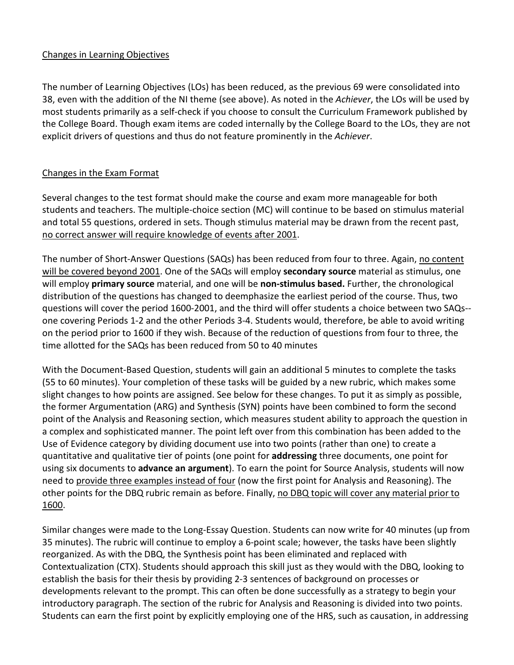## Changes in Learning Objectives

The number of Learning Objectives (LOs) has been reduced, as the previous 69 were consolidated into 38, even with the addition of the NI theme (see above). As noted in the *Achiever*, the LOs will be used by most students primarily as a self-check if you choose to consult the Curriculum Framework published by the College Board. Though exam items are coded internally by the College Board to the LOs, they are not explicit drivers of questions and thus do not feature prominently in the *Achiever*.

## Changes in the Exam Format

Several changes to the test format should make the course and exam more manageable for both students and teachers. The multiple-choice section (MC) will continue to be based on stimulus material and total 55 questions, ordered in sets. Though stimulus material may be drawn from the recent past, no correct answer will require knowledge of events after 2001.

The number of Short-Answer Questions (SAQs) has been reduced from four to three. Again, no content will be covered beyond 2001. One of the SAQs will employ **secondary source** material as stimulus, one will employ **primary source** material, and one will be **non-stimulus based.** Further, the chronological distribution of the questions has changed to deemphasize the earliest period of the course. Thus, two questions will cover the period 1600-2001, and the third will offer students a choice between two SAQs- one covering Periods 1-2 and the other Periods 3-4. Students would, therefore, be able to avoid writing on the period prior to 1600 if they wish. Because of the reduction of questions from four to three, the time allotted for the SAQs has been reduced from 50 to 40 minutes

With the Document-Based Question, students will gain an additional 5 minutes to complete the tasks (55 to 60 minutes). Your completion of these tasks will be guided by a new rubric, which makes some slight changes to how points are assigned. See below for these changes. To put it as simply as possible, the former Argumentation (ARG) and Synthesis (SYN) points have been combined to form the second point of the Analysis and Reasoning section, which measures student ability to approach the question in a complex and sophisticated manner. The point left over from this combination has been added to the Use of Evidence category by dividing document use into two points (rather than one) to create a quantitative and qualitative tier of points (one point for **addressing** three documents, one point for using six documents to **advance an argument**). To earn the point for Source Analysis, students will now need to provide three examples instead of four (now the first point for Analysis and Reasoning). The other points for the DBQ rubric remain as before. Finally, no DBQ topic will cover any material prior to 1600.

Similar changes were made to the Long-Essay Question. Students can now write for 40 minutes (up from 35 minutes). The rubric will continue to employ a 6-point scale; however, the tasks have been slightly reorganized. As with the DBQ, the Synthesis point has been eliminated and replaced with Contextualization (CTX). Students should approach this skill just as they would with the DBQ, looking to establish the basis for their thesis by providing 2-3 sentences of background on processes or developments relevant to the prompt. This can often be done successfully as a strategy to begin your introductory paragraph. The section of the rubric for Analysis and Reasoning is divided into two points. Students can earn the first point by explicitly employing one of the HRS, such as causation, in addressing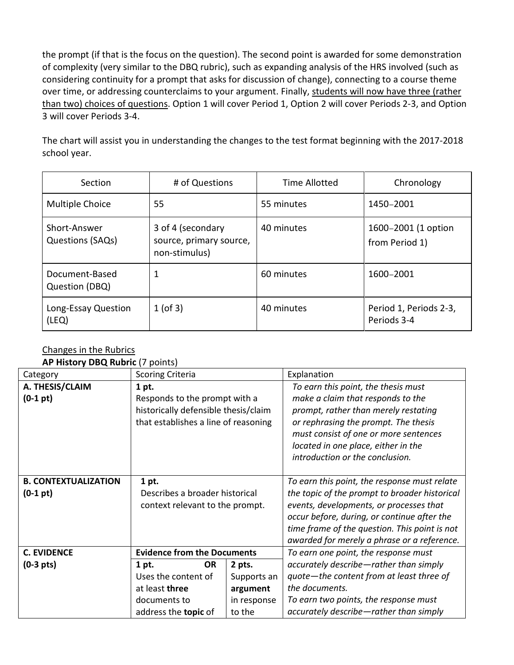the prompt (if that is the focus on the question). The second point is awarded for some demonstration of complexity (very similar to the DBQ rubric), such as expanding analysis of the HRS involved (such as considering continuity for a prompt that asks for discussion of change), connecting to a course theme over time, or addressing counterclaims to your argument. Finally, students will now have three (rather than two) choices of questions. Option 1 will cover Period 1, Option 2 will cover Periods 2-3, and Option 3 will cover Periods 3-4.

The chart will assist you in understanding the changes to the test format beginning with the 2017-2018 school year.

| Section                                 | # of Questions                                                | <b>Time Allotted</b> | Chronology                            |
|-----------------------------------------|---------------------------------------------------------------|----------------------|---------------------------------------|
| <b>Multiple Choice</b>                  | 55                                                            | 55 minutes           | 1450-2001                             |
| Short-Answer<br><b>Questions (SAQs)</b> | 3 of 4 (secondary<br>source, primary source,<br>non-stimulus) | 40 minutes           | 1600-2001 (1 option<br>from Period 1) |
| Document-Based<br>Question (DBQ)        | 1                                                             | 60 minutes           | 1600-2001                             |
| Long-Essay Question<br>(LEQ)            | $1$ (of 3)                                                    | 40 minutes           | Period 1, Periods 2-3,<br>Periods 3-4 |

# Changes in the Rubrics

**AP History DBQ Rubric** (7 points)

| Category                      | <b>Scoring Criteria</b>                                                                                                |             | Explanation                                                                                                                                                                                                                                                                 |
|-------------------------------|------------------------------------------------------------------------------------------------------------------------|-------------|-----------------------------------------------------------------------------------------------------------------------------------------------------------------------------------------------------------------------------------------------------------------------------|
| A. THESIS/CLAIM<br>$(0-1 pt)$ | 1 pt.<br>Responds to the prompt with a<br>historically defensible thesis/claim<br>that establishes a line of reasoning |             | To earn this point, the thesis must<br>make a claim that responds to the<br>prompt, rather than merely restating<br>or rephrasing the prompt. The thesis<br>must consist of one or more sentences<br>located in one place, either in the<br>introduction or the conclusion. |
| <b>B. CONTEXTUALIZATION</b>   | 1 pt.                                                                                                                  |             | To earn this point, the response must relate                                                                                                                                                                                                                                |
| $(0-1 pt)$                    | Describes a broader historical                                                                                         |             | the topic of the prompt to broader historical                                                                                                                                                                                                                               |
|                               | context relevant to the prompt.                                                                                        |             | events, developments, or processes that                                                                                                                                                                                                                                     |
|                               |                                                                                                                        |             | occur before, during, or continue after the                                                                                                                                                                                                                                 |
|                               |                                                                                                                        |             | time frame of the question. This point is not<br>awarded for merely a phrase or a reference.                                                                                                                                                                                |
| <b>C. EVIDENCE</b>            | <b>Evidence from the Documents</b>                                                                                     |             | To earn one point, the response must                                                                                                                                                                                                                                        |
| $(0-3$ pts)                   | <b>OR</b><br>1 pt.                                                                                                     | 2 pts.      | accurately describe-rather than simply                                                                                                                                                                                                                                      |
|                               | Uses the content of                                                                                                    | Supports an | quote-the content from at least three of                                                                                                                                                                                                                                    |
|                               | at least three                                                                                                         | argument    | the documents.                                                                                                                                                                                                                                                              |
|                               | documents to                                                                                                           | in response | To earn two points, the response must                                                                                                                                                                                                                                       |
|                               | address the <b>topic</b> of                                                                                            | to the      | accurately describe-rather than simply                                                                                                                                                                                                                                      |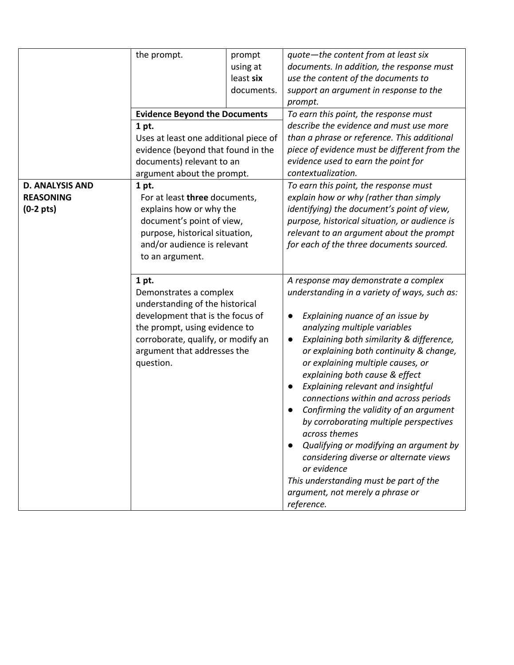|                                                                   | the prompt.<br><b>Evidence Beyond the Documents</b><br>1 pt.<br>Uses at least one additional piece of<br>evidence (beyond that found in the<br>documents) relevant to an<br>argument about the prompt.                                                                                                                                                                                                          | prompt<br>using at<br>least six<br>documents. | quote-the content from at least six<br>documents. In addition, the response must<br>use the content of the documents to<br>support an argument in response to the<br>prompt.<br>To earn this point, the response must<br>describe the evidence and must use more<br>than a phrase or reference. This additional<br>piece of evidence must be different from the<br>evidence used to earn the point for<br>contextualization.                                                                                                                                                                                                                                                                                                        |
|-------------------------------------------------------------------|-----------------------------------------------------------------------------------------------------------------------------------------------------------------------------------------------------------------------------------------------------------------------------------------------------------------------------------------------------------------------------------------------------------------|-----------------------------------------------|-------------------------------------------------------------------------------------------------------------------------------------------------------------------------------------------------------------------------------------------------------------------------------------------------------------------------------------------------------------------------------------------------------------------------------------------------------------------------------------------------------------------------------------------------------------------------------------------------------------------------------------------------------------------------------------------------------------------------------------|
| <b>D. ANALYSIS AND</b><br><b>REASONING</b><br>$(0-2 \text{ pts})$ | 1 pt.<br>For at least three documents,<br>explains how or why the<br>document's point of view,<br>purpose, historical situation,<br>and/or audience is relevant<br>to an argument.<br>1 pt.<br>Demonstrates a complex<br>understanding of the historical<br>development that is the focus of<br>the prompt, using evidence to<br>corroborate, qualify, or modify an<br>argument that addresses the<br>question. |                                               | To earn this point, the response must<br>explain how or why (rather than simply<br>identifying) the document's point of view,<br>purpose, historical situation, or audience is<br>relevant to an argument about the prompt<br>for each of the three documents sourced.                                                                                                                                                                                                                                                                                                                                                                                                                                                              |
|                                                                   |                                                                                                                                                                                                                                                                                                                                                                                                                 |                                               | A response may demonstrate a complex<br>understanding in a variety of ways, such as:<br>Explaining nuance of an issue by<br>analyzing multiple variables<br>Explaining both similarity & difference,<br>$\bullet$<br>or explaining both continuity & change,<br>or explaining multiple causes, or<br>explaining both cause & effect<br>Explaining relevant and insightful<br>$\bullet$<br>connections within and across periods<br>Confirming the validity of an argument<br>by corroborating multiple perspectives<br>across themes<br>Qualifying or modifying an argument by<br>considering diverse or alternate views<br>or evidence<br>This understanding must be part of the<br>argument, not merely a phrase or<br>reference. |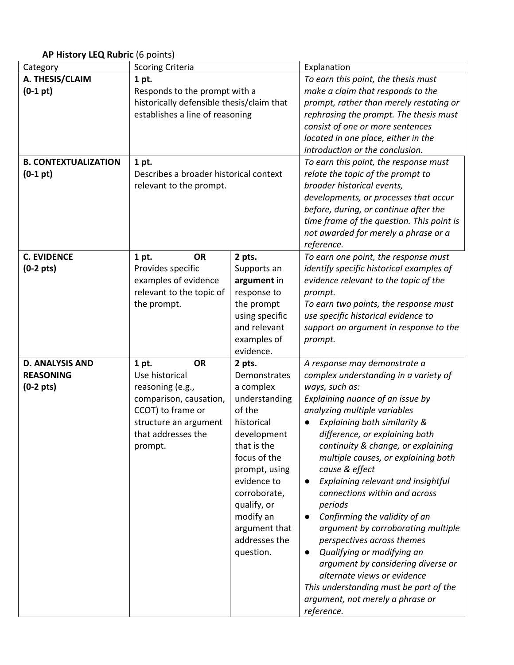#### **AP History LEQ Rubric** (6 points)

| Category                    | <b>Scoring Criteria</b>                   |                | Explanation                                     |
|-----------------------------|-------------------------------------------|----------------|-------------------------------------------------|
| A. THESIS/CLAIM             | 1 pt.                                     |                | To earn this point, the thesis must             |
| $(0-1 pt)$                  | Responds to the prompt with a             |                | make a claim that responds to the               |
|                             | historically defensible thesis/claim that |                | prompt, rather than merely restating or         |
|                             | establishes a line of reasoning           |                | rephrasing the prompt. The thesis must          |
|                             |                                           |                | consist of one or more sentences                |
|                             |                                           |                | located in one place, either in the             |
|                             |                                           |                | introduction or the conclusion.                 |
| <b>B. CONTEXTUALIZATION</b> | 1 pt.                                     |                | To earn this point, the response must           |
| $(0-1 pt)$                  | Describes a broader historical context    |                | relate the topic of the prompt to               |
|                             | relevant to the prompt.                   |                | broader historical events,                      |
|                             |                                           |                | developments, or processes that occur           |
|                             |                                           |                | before, during, or continue after the           |
|                             |                                           |                | time frame of the question. This point is       |
|                             |                                           |                | not awarded for merely a phrase or a            |
|                             |                                           |                | reference.                                      |
| <b>C. EVIDENCE</b>          | <b>OR</b><br>1 pt.                        | 2 pts.         | To earn one point, the response must            |
| $(0-2 \text{ pts})$         | Provides specific                         | Supports an    | identify specific historical examples of        |
|                             | examples of evidence                      | argument in    | evidence relevant to the topic of the           |
|                             | relevant to the topic of                  | response to    | prompt.                                         |
|                             | the prompt.                               | the prompt     | To earn two points, the response must           |
|                             |                                           | using specific | use specific historical evidence to             |
|                             |                                           | and relevant   | support an argument in response to the          |
|                             |                                           | examples of    | prompt.                                         |
|                             |                                           | evidence.      |                                                 |
| <b>D. ANALYSIS AND</b>      | <b>OR</b><br>1 pt.                        | 2 pts.         | A response may demonstrate a                    |
| <b>REASONING</b>            | Use historical                            | Demonstrates   | complex understanding in a variety of           |
| $(0-2 \text{ pts})$         | reasoning (e.g.,                          | a complex      | ways, such as:                                  |
|                             | comparison, causation,                    | understanding  | Explaining nuance of an issue by                |
|                             | CCOT) to frame or                         | of the         | analyzing multiple variables                    |
|                             | structure an argument                     | historical     | Explaining both similarity &                    |
|                             | that addresses the                        | development    | difference, or explaining both                  |
|                             | prompt.                                   | that is the    | continuity & change, or explaining              |
|                             |                                           | focus of the   | multiple causes, or explaining both             |
|                             |                                           | prompt, using  | cause & effect                                  |
|                             |                                           | evidence to    | Explaining relevant and insightful<br>$\bullet$ |
|                             |                                           | corroborate,   | connections within and across                   |
|                             |                                           | qualify, or    | periods                                         |
|                             |                                           | modify an      | Confirming the validity of an<br>$\bullet$      |
|                             |                                           | argument that  | argument by corroborating multiple              |
|                             |                                           | addresses the  | perspectives across themes                      |
|                             |                                           | question.      | Qualifying or modifying an<br>$\bullet$         |
|                             |                                           |                | argument by considering diverse or              |
|                             |                                           |                | alternate views or evidence                     |
|                             |                                           |                | This understanding must be part of the          |
|                             |                                           |                | argument, not merely a phrase or                |
|                             |                                           |                | reference.                                      |